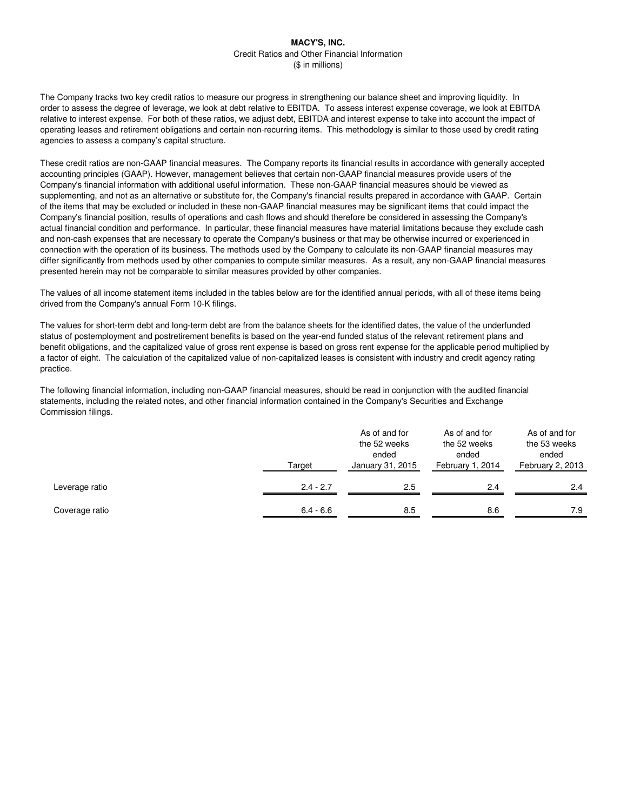The Company tracks two key credit ratios to measure our progress in strengthening our balance sheet and improving liquidity. In order to assess the degree of leverage, we look at debt relative to EBITDA. To assess interest expense coverage, we look at EBITDA relative to interest expense. For both of these ratios, we adjust debt, EBITDA and interest expense to take into account the impact of operating leases and retirement obligations and certain non-recurring items. This methodology is similar to those used by credit rating agencies to assess a company's capital structure.

These credit ratios are non-GAAP financial measures. The Company reports its financial results in accordance with generally accepted accounting principles (GAAP). However, management believes that certain non-GAAP financial measures provide users of the Company's financial information with additional useful information. These non-GAAP financial measures should be viewed as supplementing, and not as an alternative or substitute for, the Company's financial results prepared in accordance with GAAP. Certain of the items that may be excluded or included in these non-GAAP financial measures may be significant items that could impact the Company's financial position, results of operations and cash flows and should therefore be considered in assessing the Company's actual financial condition and performance. In particular, these financial measures have material limitations because they exclude cash and non-cash expenses that are necessary to operate the Company's business or that may be otherwise incurred or experienced in connection with the operation of its business. The methods used by the Company to calculate its non-GAAP financial measures may differ significantly from methods used by other companies to compute similar measures. As a result, any non-GAAP financial measures presented herein may not be comparable to similar measures provided by other companies.

The values of all income statement items included in the tables below are for the identified annual periods, with all of these items being drived from the Company's annual Form 10-K filings.

The values for short-term debt and long-term debt are from the balance sheets for the identified dates, the value of the underfunded status of postemployment and postretirement benefits is based on the year-end funded status of the relevant retirement plans and benefit obligations, and the capitalized value of gross rent expense is based on gross rent expense for the applicable period multiplied by a factor of eight. The calculation of the capitalized value of non-capitalized leases is consistent with industry and credit agency rating practice.

The following financial information, including non-GAAP financial measures, should be read in conjunction with the audited financial statements, including the related notes, and other financial information contained in the Company's Securities and Exchange Commission filings.

|                | Target      |     | As of and for<br>the 52 weeks<br>ended<br>February 1, 2014 | As of and for<br>the 53 weeks<br>ended<br>February 2, 2013 |  |
|----------------|-------------|-----|------------------------------------------------------------|------------------------------------------------------------|--|
| Leverage ratio | $2.4 - 2.7$ | 2.5 | 2.4                                                        | 2.4                                                        |  |
| Coverage ratio | $6.4 - 6.6$ | 8.5 | 8.6                                                        | 7.9                                                        |  |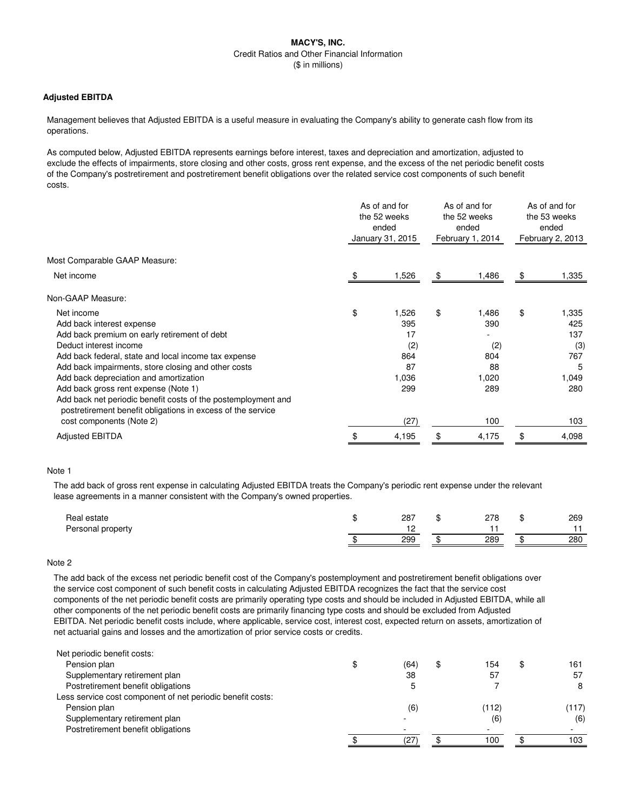## **Adjusted EBITDA**

Management believes that Adjusted EBITDA is a useful measure in evaluating the Company's ability to generate cash flow from its operations.

As computed below, Adjusted EBITDA represents earnings before interest, taxes and depreciation and amortization, adjusted to exclude the effects of impairments, store closing and other costs, gross rent expense, and the excess of the net periodic benefit costs of the Company's postretirement and postretirement benefit obligations over the related service cost components of such benefit costs.

|                                                                                                                              | As of and for<br>the 52 weeks<br>ended<br>January 31, 2015 |    | As of and for<br>the 52 weeks<br>ended<br>February 1, 2014 |    | As of and for<br>the 53 weeks<br>ended<br>February 2, 2013 |  |
|------------------------------------------------------------------------------------------------------------------------------|------------------------------------------------------------|----|------------------------------------------------------------|----|------------------------------------------------------------|--|
| Most Comparable GAAP Measure:                                                                                                |                                                            |    |                                                            |    |                                                            |  |
| Net income                                                                                                                   | 1,526                                                      | \$ | 1,486                                                      | \$ | 1,335                                                      |  |
| Non-GAAP Measure:                                                                                                            |                                                            |    |                                                            |    |                                                            |  |
| Net income                                                                                                                   | \$<br>1,526                                                | \$ | 1,486                                                      | \$ | 1,335                                                      |  |
| Add back interest expense                                                                                                    | 395                                                        |    | 390                                                        |    | 425                                                        |  |
| Add back premium on early retirement of debt                                                                                 | 17                                                         |    |                                                            |    | 137                                                        |  |
| Deduct interest income                                                                                                       | (2)                                                        |    | (2)                                                        |    | (3)                                                        |  |
| Add back federal, state and local income tax expense                                                                         | 864                                                        |    | 804                                                        |    | 767                                                        |  |
| Add back impairments, store closing and other costs                                                                          | 87                                                         |    | 88                                                         |    | 5                                                          |  |
| Add back depreciation and amortization                                                                                       | 1,036                                                      |    | 1,020                                                      |    | 1,049                                                      |  |
| Add back gross rent expense (Note 1)                                                                                         | 299                                                        |    | 289                                                        |    | 280                                                        |  |
| Add back net periodic benefit costs of the postemployment and<br>postretirement benefit obligations in excess of the service |                                                            |    |                                                            |    |                                                            |  |
| cost components (Note 2)                                                                                                     | (27)                                                       |    | 100                                                        |    | 103                                                        |  |
| <b>Adjusted EBITDA</b>                                                                                                       | \$<br>4,195                                                | \$ | 4,175                                                      | \$ | 4,098                                                      |  |

#### Note 1

The add back of gross rent expense in calculating Adjusted EBITDA treats the Company's periodic rent expense under the relevant lease agreements in a manner consistent with the Company's owned properties.

| Real estate       | 287 | 278 | w | 269 |
|-------------------|-----|-----|---|-----|
| Personal property | . . |     |   |     |
|                   | 299 | 289 |   | 280 |

## Note 2

The add back of the excess net periodic benefit cost of the Company's postemployment and postretirement benefit obligations over the service cost component of such benefit costs in calculating Adjusted EBITDA recognizes the fact that the service cost components of the net periodic benefit costs are primarily operating type costs and should be included in Adjusted EBITDA, while all other components of the net periodic benefit costs are primarily financing type costs and should be excluded from Adjusted EBITDA. Net periodic benefit costs include, where applicable, service cost, interest cost, expected return on assets, amortization of net actuarial gains and losses and the amortization of prior service costs or credits.

| Pension plan<br>\$<br>(64)<br>154<br>\$<br>Œ<br>38<br>57<br>Supplementary retirement plan<br>57<br>Postretirement benefit obligations<br>Less service cost component of net periodic benefit costs:<br>Pension plan<br>(6)<br>(112)<br>Supplementary retirement plan<br>(6)<br>Postretirement benefit obligations<br>100<br>27 | Net periodic benefit costs: |  |  |       |
|--------------------------------------------------------------------------------------------------------------------------------------------------------------------------------------------------------------------------------------------------------------------------------------------------------------------------------|-----------------------------|--|--|-------|
|                                                                                                                                                                                                                                                                                                                                |                             |  |  | 161   |
|                                                                                                                                                                                                                                                                                                                                |                             |  |  |       |
|                                                                                                                                                                                                                                                                                                                                |                             |  |  |       |
|                                                                                                                                                                                                                                                                                                                                |                             |  |  |       |
|                                                                                                                                                                                                                                                                                                                                |                             |  |  | (117) |
|                                                                                                                                                                                                                                                                                                                                |                             |  |  | (6)   |
|                                                                                                                                                                                                                                                                                                                                |                             |  |  |       |
|                                                                                                                                                                                                                                                                                                                                |                             |  |  | 103   |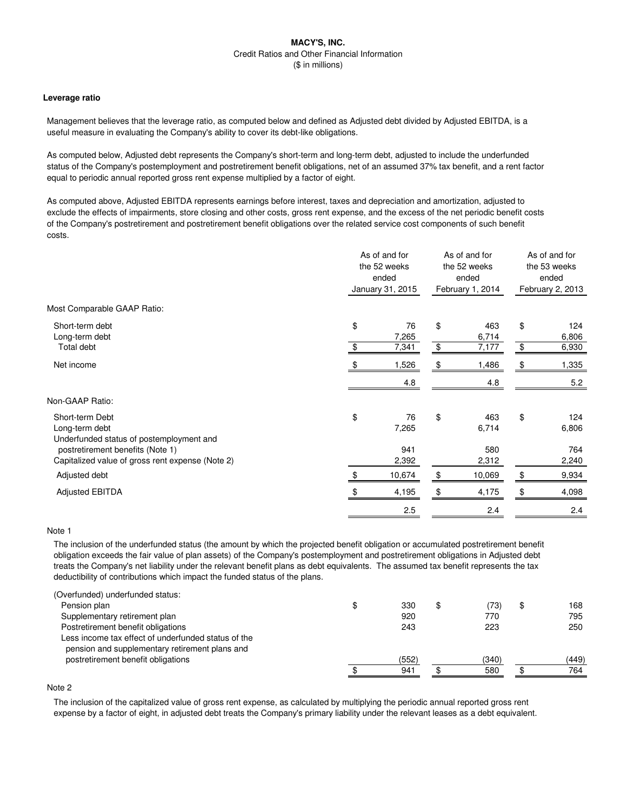#### **Leverage ratio**

Management believes that the leverage ratio, as computed below and defined as Adjusted debt divided by Adjusted EBITDA, is a useful measure in evaluating the Company's ability to cover its debt-like obligations.

As computed below, Adjusted debt represents the Company's short-term and long-term debt, adjusted to include the underfunded status of the Company's postemployment and postretirement benefit obligations, net of an assumed 37% tax benefit, and a rent factor equal to periodic annual reported gross rent expense multiplied by a factor of eight.

As computed above, Adjusted EBITDA represents earnings before interest, taxes and depreciation and amortization, adjusted to exclude the effects of impairments, store closing and other costs, gross rent expense, and the excess of the net periodic benefit costs of the Company's postretirement and postretirement benefit obligations over the related service cost components of such benefit costs.

|                                                                                                                   | As of and for<br>the 52 weeks<br>ended |                    | As of and for<br>the 52 weeks<br>ended |                     | As of and for<br>the 53 weeks<br>ended<br>February 2, 2013 |                     |
|-------------------------------------------------------------------------------------------------------------------|----------------------------------------|--------------------|----------------------------------------|---------------------|------------------------------------------------------------|---------------------|
|                                                                                                                   |                                        | January 31, 2015   |                                        | February 1, 2014    |                                                            |                     |
| Most Comparable GAAP Ratio:                                                                                       |                                        |                    |                                        |                     |                                                            |                     |
| Short-term debt<br>Long-term debt                                                                                 | \$                                     | 76<br>7,265        | \$                                     | 463<br>6,714        | \$                                                         | 124<br>6,806        |
| Total debt                                                                                                        |                                        | 7,341              | \$                                     | 7,177               | $\frac{1}{2}$                                              | 6,930               |
| Net income                                                                                                        |                                        | 1,526              | \$                                     | 1,486               | \$                                                         | 1,335               |
|                                                                                                                   |                                        | 4.8                |                                        | 4.8                 |                                                            | 5.2                 |
| Non-GAAP Ratio:                                                                                                   |                                        |                    |                                        |                     |                                                            |                     |
| Short-term Debt<br>Long-term debt<br>Underfunded status of postemployment and<br>postretirement benefits (Note 1) | \$                                     | 76<br>7,265<br>941 | \$                                     | 463<br>6,714<br>580 | \$                                                         | 124<br>6,806<br>764 |
| Capitalized value of gross rent expense (Note 2)                                                                  |                                        | 2,392              |                                        | 2,312               |                                                            | 2,240               |
| Adjusted debt                                                                                                     | Ж,                                     | 10,674             | \$                                     | 10,069              | \$                                                         | 9,934               |
| <b>Adjusted EBITDA</b>                                                                                            |                                        | 4,195              | \$                                     | 4,175               | \$                                                         | 4,098               |
|                                                                                                                   |                                        | 2.5                |                                        | 2.4                 |                                                            | 2.4                 |

## Note 1

The inclusion of the underfunded status (the amount by which the projected benefit obligation or accumulated postretirement benefit obligation exceeds the fair value of plan assets) of the Company's postemployment and postretirement obligations in Adjusted debt treats the Company's net liability under the relevant benefit plans as debt equivalents. The assumed tax benefit represents the tax deductibility of contributions which impact the funded status of the plans.

| \$<br>330 | \$<br>(73) | \$<br>168 |
|-----------|------------|-----------|
| 920       | 770        | 795       |
| 243       | 223        | 250       |
|           |            |           |
| (552)     | (340)      | (449)     |
| 941       | 580        | 764       |
|           |            |           |

# Note 2

The inclusion of the capitalized value of gross rent expense, as calculated by multiplying the periodic annual reported gross rent expense by a factor of eight, in adjusted debt treats the Company's primary liability under the relevant leases as a debt equivalent.